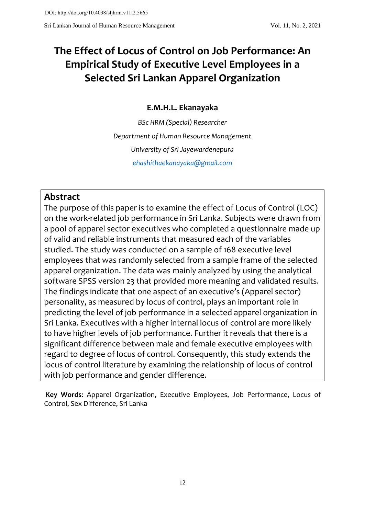# **The Effect of Locus of Control on Job Performance: An Empirical Study of Executive Level Employees in a Selected Sri Lankan Apparel Organization**

# **E.M.H.L. Ekanayaka**

*BSc HRM (Special) Researcher Department of Human Resource Management University of Sri Jayewardenepura [ehashithaekanayaka@gmail.com](mailto:ehashithaekanayaka@gmail.com)*

# **Abstract**

The purpose of this paper is to examine the effect of Locus of Control (LOC) on the work-related job performance in Sri Lanka. Subjects were drawn from a pool of apparel sector executives who completed a questionnaire made up of valid and reliable instruments that measured each of the variables studied. The study was conducted on a sample of 168 executive level employees that was randomly selected from a sample frame of the selected apparel organization. The data was mainly analyzed by using the analytical software SPSS version 23 that provided more meaning and validated results. The findings indicate that one aspect of an executive's (Apparel sector) personality, as measured by locus of control, plays an important role in predicting the level of job performance in a selected apparel organization in Sri Lanka. Executives with a higher internal locus of control are more likely to have higher levels of job performance. Further it reveals that there is a significant difference between male and female executive employees with regard to degree of locus of control. Consequently, this study extends the locus of control literature by examining the relationship of locus of control with job performance and gender difference.

**Key Words**: Apparel Organization, Executive Employees, Job Performance, Locus of Control, Sex Difference, Sri Lanka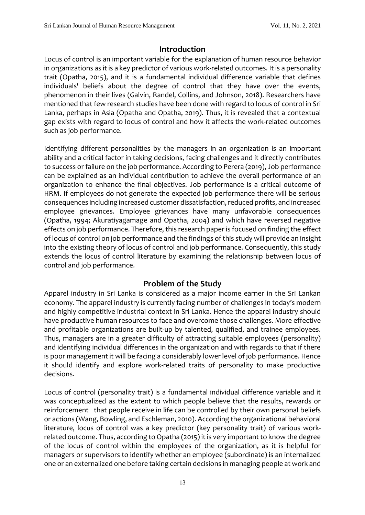# **Introduction**

Locus of control is an important variable for the explanation of human resource behavior in organizations as it is a key predictor of various work-related outcomes. It is a personality trait (Opatha, 2015), and it is a fundamental individual difference variable that defines individuals' beliefs about the degree of control that they have over the events, phenomenon in their lives (Galvin, Randel, Collins, and Johnson, 2018). Researchers have mentioned that few research studies have been done with regard to locus of control in Sri Lanka, perhaps in Asia (Opatha and Opatha, 2019). Thus, it is revealed that a contextual gap exists with regard to locus of control and how it affects the work-related outcomes such as job performance.

Identifying different personalities by the managers in an organization is an important ability and a critical factor in taking decisions, facing challenges and it directly contributes to success or failure on the job performance. According to Perera (2019), Job performance can be explained as an individual contribution to achieve the overall performance of an organization to enhance the final objectives. Job performance is a critical outcome of HRM. If employees do not generate the expected job performance there will be serious consequences including increased customer dissatisfaction, reduced profits, and increased employee grievances. Employee grievances have many unfavorable consequences (Opatha, 1994; Akuratiyagamage and Opatha, 2004) and which have reversed negative effects on job performance. Therefore, this research paper is focused on finding the effect of locus of control on job performance and the findings of this study will provide an insight into the existing theory of locus of control and job performance. Consequently, this study extends the locus of control literature by examining the relationship between locus of control and job performance.

# **Problem of the Study**

Apparel industry in Sri Lanka is considered as a major income earner in the Sri Lankan economy. The apparel industry is currently facing number of challenges in today's modern and highly competitive industrial context in Sri Lanka. Hence the apparel industry should have productive human resources to face and overcome those challenges. More effective and profitable organizations are built-up by talented, qualified, and trainee employees. Thus, managers are in a greater difficulty of attracting suitable employees (personality) and identifying individual differences in the organization and with regards to that if there is poor management it will be facing a considerably lower level of job performance. Hence it should identify and explore work-related traits of personality to make productive decisions.

Locus of control (personality trait) is a fundamental individual difference variable and it was conceptualized as the extent to which people believe that the results, rewards or reinforcement that people receive in life can be controlled by their own personal beliefs or actions (Wang, Bowling, and Eschleman, 2010). According the organizational behavioral literature, locus of control was a key predictor (key personality trait) of various work‐ related outcome. Thus, according to Opatha (2015) it is very important to know the degree of the locus of control within the employees of the organization, as it is helpful for managers or supervisors to identify whether an employee (subordinate) is an internalized one or an externalized one before taking certain decisions in managing people at work and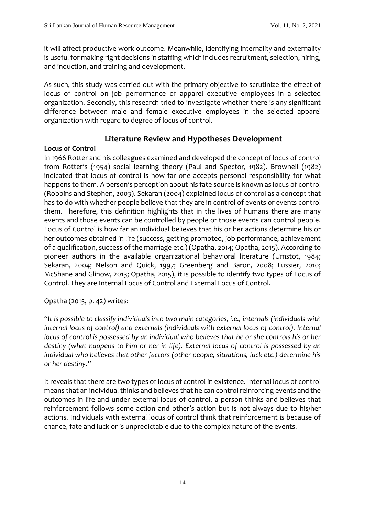it will affect productive work outcome. Meanwhile, identifying internality and externality is useful for making right decisions in staffing which includes recruitment, selection, hiring, and induction, and training and development.

As such, this study was carried out with the primary objective to scrutinize the effect of locus of control on job performance of apparel executive employees in a selected organization. Secondly, this research tried to investigate whether there is any significant difference between male and female executive employees in the selected apparel organization with regard to degree of locus of control.

# **Literature Review and Hypotheses Development**

#### **Locus of Control**

In 1966 Rotter and his colleagues examined and developed the concept of locus of control from Rotter's (1954) social learning theory (Paul and Spector, 1982). Brownell (1982) indicated that locus of control is how far one accepts personal responsibility for what happens to them. A person's perception about his fate source is known as locus of control (Robbins and Stephen, 2003). Sekaran (2004) explained locus of control as a concept that has to do with whether people believe that they are in control of events or events control them. Therefore, this definition highlights that in the lives of humans there are many events and those events can be controlled by people or those events can control people. Locus of Control is how far an individual believes that his or her actions determine his or her outcomes obtained in life (success, getting promoted, job performance, achievement of a qualification, success of the marriage etc.) (Opatha, 2014; Opatha, 2015). According to pioneer authors in the available organizational behavioral literature (Umstot, 1984; Sekaran, 2004; Nelson and Quick, 1997; Greenberg and Baron, 2008; Lussier, 2010; McShane and Glinow, 2013; Opatha, 2015), it is possible to identify two types of Locus of Control. They are Internal Locus of Control and External Locus of Control.

# Opatha (2015, p. 42) writes:

*"It is possible to classify individuals into two main categories, i.e., internals (individuals with internal locus of control) and externals (individuals with external locus of control). Internal locus of control is possessed by an individual who believes that he or she controls his or her destiny (what happens to him or her in life). External locus of control is possessed by an individual who believes that other factors (other people, situations, luck etc.) determine his or her destiny."*

It reveals that there are two types of locus of control in existence. Internal locus of control means that an individual thinks and believes that he can control reinforcing events and the outcomes in life and under external locus of control, a person thinks and believes that reinforcement follows some action and other's action but is not always due to his/her actions. Individuals with external locus of control think that reinforcement is because of chance, fate and luck or is unpredictable due to the complex nature of the events.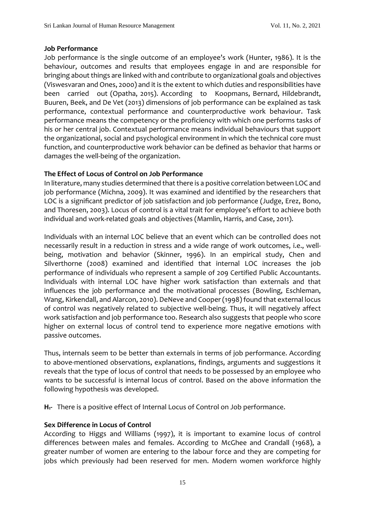#### **Job Performance**

Job performance is the single outcome of an employee's work (Hunter, 1986). It is the behaviour, outcomes and results that employees engage in and are responsible for bringing about things are linked with and contribute to organizational goals and objectives (Viswesvaran and Ones, 2000) and it is the extent to which duties and responsibilities have been carried out (Opatha, 2015). According to Koopmans, Bernard, Hildebrandt, Buuren, Beek, and De Vet (2013) dimensions of job performance can be explained as task performance, contextual performance and counterproductive work behaviour. Task performance means the competency or the proficiency with which one performs tasks of his or her central job. Contextual performance means individual behaviours that support the organizational, social and psychological environment in which the technical core must function, and counterproductive work behavior can be defined as behavior that harms or damages the well-being of the organization.

#### **The Effect of Locus of Control on Job Performance**

In literature, many studies determined that there is a positive correlation between LOC and job performance (Michna, 2009). It was examined and identified by the researchers that LOC is a significant predictor of job satisfaction and job performance (Judge, Erez, Bono, and Thoresen, 2003). Locus of control is a vital trait for employee's effort to achieve both individual and work-related goals and objectives (Mamlin, Harris, and Case, 2011).

Individuals with an internal LOC believe that an event which can be controlled does not necessarily result in a reduction in stress and a wide range of work outcomes, i.e., wellbeing, motivation and behavior (Skinner, 1996). In an empirical study, Chen and Silverthorne (2008) examined and identified that internal LOC increases the job performance of individuals who represent a sample of 209 Certified Public Accountants. Individuals with internal LOC have higher work satisfaction than externals and that influences the job performance and the motivational processes (Bowling, Eschleman, Wang, Kirkendall, and Alarcon, 2010). DeNeve and Cooper (1998) found that external locus of control was negatively related to subjective well-being. Thus, it will negatively affect work satisfaction and job performance too. Research also suggests that people who score higher on external locus of control tend to experience more negative emotions with passive outcomes.

Thus, internals seem to be better than externals in terms of job performance. According to above-mentioned observations, explanations, findings, arguments and suggestions it reveals that the type of locus of control that needs to be possessed by an employee who wants to be successful is internal locus of control. Based on the above information the following hypothesis was developed.

**H1-** There is a positive effect of Internal Locus of Control on Job performance.

#### **Sex Difference in Locus of Control**

According to Higgs and Williams (1997), it is important to examine locus of control differences between males and females. According to McGhee and Crandall (1968), a greater number of women are entering to the labour force and they are competing for jobs which previously had been reserved for men. Modern women workforce highly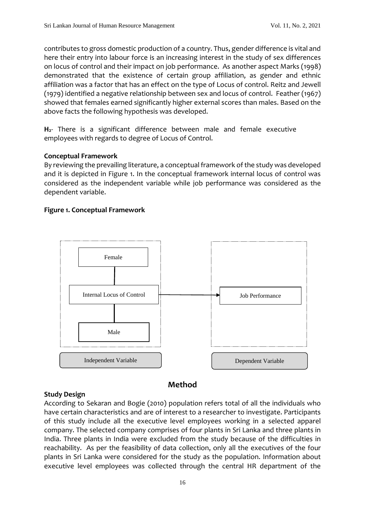contributes to gross domestic production of a country. Thus, gender difference is vital and here their entry into labour force is an increasing interest in the study of sex differences on locus of control and their impact on job performance. As another aspect Marks (1998) demonstrated that the existence of certain group affiliation, as gender and ethnic affiliation was a factor that has an effect on the type of Locus of control. Reitz and Jewell (1979) identified a negative relationship between sex and locus of control. Feather (1967) showed that females earned significantly higher external scores than males. Based on the above facts the following hypothesis was developed.

**H2**- There is a significant difference between male and female executive employees with regards to degree of Locus of Control.

#### **Conceptual Framework**

By reviewing the prevailing literature, a conceptual framework of the study was developed and it is depicted in Figure 1. In the conceptual framework internal locus of control was considered as the independent variable while job performance was considered as the dependent variable.

#### **Figure 1. Conceptual Framework**



# **Method**

#### **Study Design**

According to Sekaran and Bogie (2010) population refers total of all the individuals who have certain characteristics and are of interest to a researcher to investigate. Participants of this study include all the executive level employees working in a selected apparel company. The selected company comprises of four plants in Sri Lanka and three plants in India. Three plants in India were excluded from the study because of the difficulties in reachability. As per the feasibility of data collection, only all the executives of the four plants in Sri Lanka were considered for the study as the population. Information about executive level employees was collected through the central HR department of the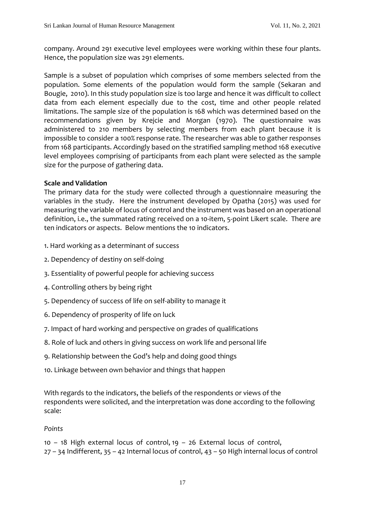company. Around 291 executive level employees were working within these four plants. Hence, the population size was 291 elements.

Sample is a subset of population which comprises of some members selected from the population. Some elements of the population would form the sample (Sekaran and Bougie, 2010). In this study population size is too large and hence it was difficult to collect data from each element especially due to the cost, time and other people related limitations. The sample size of the population is 168 which was determined based on the recommendations given by Krejcie and Morgan (1970). The questionnaire was administered to 210 members by selecting members from each plant because it is impossible to consider a 100% response rate. The researcher was able to gather responses from 168 participants. Accordingly based on the stratified sampling method 168 executive level employees comprising of participants from each plant were selected as the sample size for the purpose of gathering data.

#### **Scale and Validation**

The primary data for the study were collected through a questionnaire measuring the variables in the study. Here the instrument developed by Opatha (2015) was used for measuring the variable of locus of control and the instrument was based on an operational definition, i.e., the summated rating received on a 10-item, 5-point Likert scale. There are ten indicators or aspects. Below mentions the 10 indicators.

- 1. Hard working as a determinant of success
- 2. Dependency of destiny on self-doing
- 3. Essentiality of powerful people for achieving success
- 4. Controlling others by being right
- 5. Dependency of success of life on self-ability to manage it
- 6. Dependency of prosperity of life on luck
- 7. Impact of hard working and perspective on grades of qualifications
- 8. Role of luck and others in giving success on work life and personal life
- 9. Relationship between the God's help and doing good things
- 10. Linkage between own behavior and things that happen

With regards to the indicators, the beliefs of the respondents or views of the respondents were solicited, and the interpretation was done according to the following scale:

#### *Points*

10 – 18 High external locus of control, 19 – 26 External locus of control, 27 – 34 Indifferent, 35 – 42 Internal locus of control, 43 – 50 High internal locus of control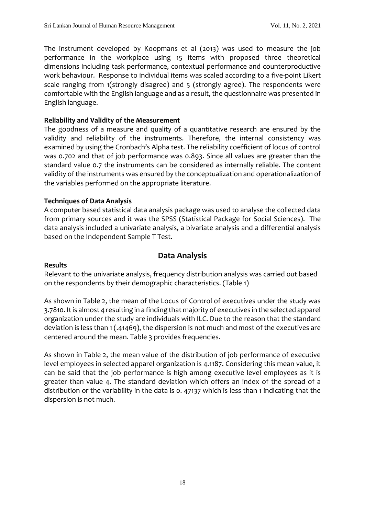The instrument developed by Koopmans et al (2013) was used to measure the job performance in the workplace using 15 items with proposed three theoretical dimensions including task performance, contextual performance and counterproductive work behaviour. Response to individual items was scaled according to a five-point Likert scale ranging from 1(strongly disagree) and 5 (strongly agree). The respondents were comfortable with the English language and as a result, the questionnaire was presented in English language.

#### **Reliability and Validity of the Measurement**

The goodness of a measure and quality of a quantitative research are ensured by the validity and reliability of the instruments. Therefore, the internal consistency was examined by using the Cronbach's Alpha test. The reliability coefficient of locus of control was 0.702 and that of job performance was 0.893. Since all values are greater than the standard value 0.7 the instruments can be considered as internally reliable. The content validity of the instruments was ensured by the conceptualization and operationalization of the variables performed on the appropriate literature.

#### **Techniques of Data Analysis**

A computer based statistical data analysis package was used to analyse the collected data from primary sources and it was the SPSS (Statistical Package for Social Sciences). The data analysis included a univariate analysis, a bivariate analysis and a differential analysis based on the Independent Sample T Test.

#### **Data Analysis**

#### **Results**

Relevant to the univariate analysis, frequency distribution analysis was carried out based on the respondents by their demographic characteristics. (Table 1)

As shown in Table 2, the mean of the Locus of Control of executives under the study was 3.7810. It is almost 4 resulting in a finding that majority of executives in the selected apparel organization under the study are individuals with ILC. Due to the reason that the standard deviation is less than 1 (.41469), the dispersion is not much and most of the executives are centered around the mean. Table 3 provides frequencies.

As shown in Table 2, the mean value of the distribution of job performance of executive level employees in selected apparel organization is 4.1187. Considering this mean value, it can be said that the job performance is high among executive level employees as it is greater than value 4. The standard deviation which offers an index of the spread of a distribution or the variability in the data is 0. 47137 which is less than 1 indicating that the dispersion is not much.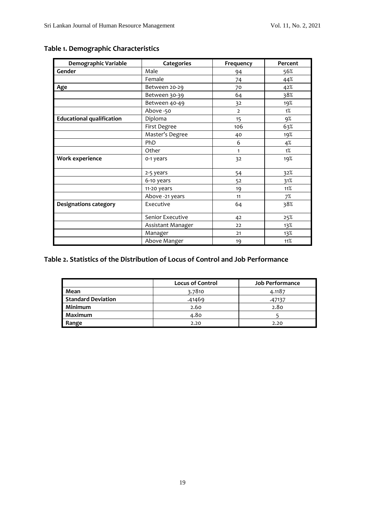| Demographic Variable             | Categories        | Frequency      | Percent |
|----------------------------------|-------------------|----------------|---------|
| Gender                           | Male              | 94             | 56%     |
|                                  | Female            | 74             | 44%     |
| Age                              | Between 20-29     | 70             | 42%     |
|                                  | Between 30-39     | 64             | 38%     |
|                                  | Between 40-49     | 32             | 19%     |
|                                  | Above -50         | $\overline{2}$ | $1\%$   |
| <b>Educational qualification</b> | Diploma           | 15             | 9%      |
|                                  | First Degree      | 106            | 63%     |
|                                  | Master's Degree   | 40             | 19%     |
|                                  | PhD               | 6              | 4%      |
|                                  | Other             | 1              | 1%      |
| Work experience                  | 0-1 years         | 32             | 19%     |
|                                  | 2-5 years         | 54             | 32%     |
|                                  | 6-10 years        | 52             | 31%     |
|                                  | 11-20 years       | 19             | 11%     |
|                                  | Above -21 years   | 11             | 7%      |
| <b>Designations category</b>     | Executive         | 64             | 38%     |
|                                  | Senior Executive  | 42             | 25%     |
|                                  | Assistant Manager | 22             | 13%     |
|                                  | Manager           | 21             | 13%     |
|                                  | Above Manger      | 19             | 11%     |

# **Table 1. Demographic Characteristics**

# **Table 2. Statistics of the Distribution of Locus of Control and Job Performance**

|                           | <b>Locus of Control</b> | <b>Job Performance</b> |
|---------------------------|-------------------------|------------------------|
| Mean                      | 3.7810                  | 4.1187                 |
| <b>Standard Deviation</b> | .41469                  | .47137                 |
| Minimum                   | 2.60                    | 2.80                   |
| Maximum                   | 4.80                    |                        |
| Range                     | 2.20                    | 2.20                   |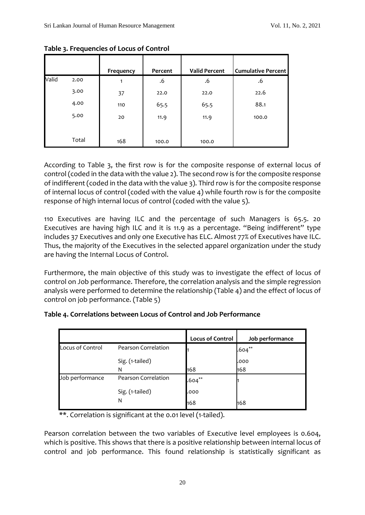|       |       | Frequency | Percent | <b>Valid Percent</b> | <b>Cumulative Percent</b> |
|-------|-------|-----------|---------|----------------------|---------------------------|
| Valid | 2.00  | 1         | .6      | .6                   | .6                        |
|       | 3.00  | 37        | 22.0    | 22.0                 | 22.6                      |
|       | 4.00  | 110       | 65.5    | 65.5                 | 88.1                      |
|       | 5.00  | 20        | 11.9    | 11.9                 | 100.0                     |
|       | Total | 168       | 100.0   | 100.0                |                           |

**Table 3. Frequencies of Locus of Control**

According to Table 3, the first row is for the composite response of external locus of control (coded in the data with the value 2). The second row is for the composite response of indifferent (coded in the data with the value 3). Third row is for the composite response of internal locus of control (coded with the value 4) while fourth row is for the composite response of high internal locus of control (coded with the value 5).

110 Executives are having ILC and the percentage of such Managers is 65.5. 20 Executives are having high ILC and it is 11.9 as a percentage. "Being indifferent" type includes 37 Executives and only one Executive has ELC. Almost 77% of Executives have ILC. Thus, the majority of the Executives in the selected apparel organization under the study are having the Internal Locus of Control.

Furthermore, the main objective of this study was to investigate the effect of locus of control on Job performance. Therefore, the correlation analysis and the simple regression analysis were performed to determine the relationship (Table 4) and the effect of locus of control on job performance. (Table 5)

| Table 4. Correlations between Locus of Control and Job Performance |  |  |
|--------------------------------------------------------------------|--|--|
|--------------------------------------------------------------------|--|--|

|                  |                     | <b>Locus of Control</b> | Job performance |
|------------------|---------------------|-------------------------|-----------------|
| Locus of Control | Pearson Correlation |                         | $.604***$       |
|                  | Sig. (1-tailed)     |                         | .000            |
|                  | N                   | 168                     | 168             |
| Job performance  | Pearson Correlation | $.604***$               |                 |
|                  | Sig. (1-tailed)     | .000                    |                 |
|                  | N                   | 168                     | 168             |

\*\*. Correlation is significant at the 0.01 level (1-tailed).

Pearson correlation between the two variables of Executive level employees is 0.604, which is positive. This shows that there is a positive relationship between internal locus of control and job performance. This found relationship is statistically significant as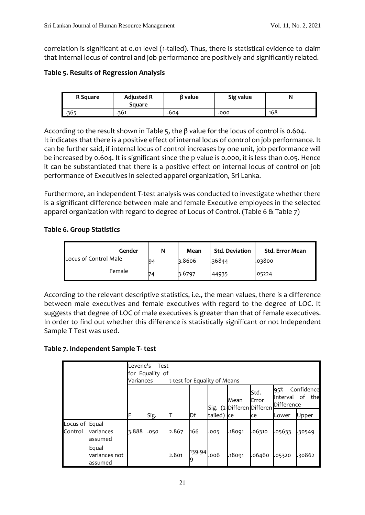correlation is significant at 0.01 level (1-tailed). Thus, there is statistical evidence to claim that internal locus of control and job performance are positively and significantly related.

#### **Table 5. Results of Regression Analysis**

| R Square | <b>Adjusted R</b><br>Square | 6 value | Sig value |     |  |
|----------|-----------------------------|---------|-----------|-----|--|
| .365     | 361                         | .604    | .000      | 168 |  |

According to the result shown in Table 5, the β value for the locus of control is 0.604. It indicates that there is a positive effect of internal locus of control on job performance. It can be further said, if internal locus of control increases by one unit, job performance will be increased by 0.604. It is significant since the p value is 0.000, it is less than 0.05. Hence it can be substantiated that there is a positive effect on internal locus of control on job performance of Executives in selected apparel organization, Sri Lanka.

Furthermore, an independent T-test analysis was conducted to investigate whether there is a significant difference between male and female Executive employees in the selected apparel organization with regard to degree of Locus of Control. (Table 6 & Table 7)

# **Table 6. Group Statistics**

|                       | Gender        | N  | Mean   | <b>Std. Deviation</b> | Std. Error Mean |
|-----------------------|---------------|----|--------|-----------------------|-----------------|
| Locus of Control Male |               | 94 | 3.8606 | .36844                | .03800          |
|                       | <b>Female</b> | 74 | 3.6797 | .44935                | .05224          |

According to the relevant descriptive statistics, i.e., the mean values, there is a difference between male executives and female executives with regard to the degree of LOC. It suggests that degree of LOC of male executives is greater than that of female executives. In order to find out whether this difference is statistically significant or not Independent Sample T Test was used.

#### **Table 7. Independent Sample T- test**

|                           |                                   | Levene's<br>Variances | Test<br>for Equality of | t-test for Equality of Means |        |            |                                   |                       |                                                          |        |
|---------------------------|-----------------------------------|-----------------------|-------------------------|------------------------------|--------|------------|-----------------------------------|-----------------------|----------------------------------------------------------|--------|
|                           |                                   |                       |                         |                              |        |            | Mean<br>Sig. (2-Differen Differen | Std.<br><b>IError</b> | Confidence<br>95%<br>οf<br>the<br>Interval<br>Difference |        |
|                           |                                   | F                     | Sig.                    |                              | Df     | tailed) ce |                                   | ce                    | Lower                                                    | Upper  |
| Locus of Equal<br>Control | variances<br>assumed              | 3.888                 | .050                    | 2.867                        | 166    | .005       | .18091                            | .06310                | .05633                                                   | .30549 |
|                           | Equal<br>variances not<br>assumed |                       |                         | 2.801                        | 139.94 | 006.       | .18091                            | .06460                | .05320                                                   | .30862 |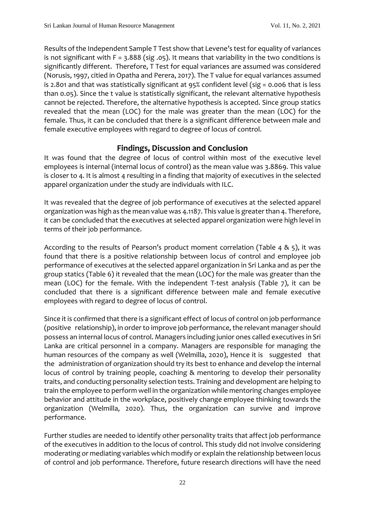Results of the Independent Sample T Test show that Levene's test for equality of variances is not significant with  $F = 3.888$  (sig. 05). It means that variability in the two conditions is significantly different. Therefore, T Test for equal variances are assumed was considered (Norusis, 1997, citied in Opatha and Perera, 2017). The T value for equal variances assumed is 2.801 and that was statistically significant at 95% confident level (sig = 0.006 that is less than 0.05). Since the t value is statistically significant, the relevant alternative hypothesis cannot be rejected. Therefore, the alternative hypothesis is accepted. Since group statics revealed that the mean (LOC) for the male was greater than the mean (LOC) for the female. Thus, it can be concluded that there is a significant difference between male and female executive employees with regard to degree of locus of control.

# **Findings, Discussion and Conclusion**

It was found that the degree of locus of control within most of the executive level employees is internal (internal locus of control) as the mean value was 3.8869. This value is closer to 4. It is almost 4 resulting in a finding that majority of executives in the selected apparel organization under the study are individuals with ILC.

It was revealed that the degree of job performance of executives at the selected apparel organization was high as the mean value was 4.1187. This value is greater than 4. Therefore, it can be concluded that the executives at selected apparel organization were high level in terms of their job performance.

According to the results of Pearson's product moment correlation (Table 4 & 5), it was found that there is a positive relationship between locus of control and employee job performance of executives at the selected apparel organization in Sri Lanka and as per the group statics (Table 6) it revealed that the mean (LOC) for the male was greater than the mean (LOC) for the female. With the independent T-test analysis (Table 7), it can be concluded that there is a significant difference between male and female executive employees with regard to degree of locus of control.

Since it is confirmed that there is a significant effect of locus of control on job performance (positive relationship), in order to improve job performance, the relevant manager should possess an internal locus of control. Managers including junior ones called executives in Sri Lanka are critical personnel in a company. Managers are responsible for managing the human resources of the company as well (Welmilla, 2020), Hence it is suggested that the administration of organization should try its best to enhance and develop the internal locus of control by training people, coaching & mentoring to develop their personality traits, and conducting personality selection tests. Training and development are helping to train the employee to perform well in the organization while mentoring changes employee behavior and attitude in the workplace, positively change employee thinking towards the organization (Welmilla, 2020). Thus, the organization can survive and improve performance.

Further studies are needed to identify other personality traits that affect job performance of the executives in addition to the locus of control. This study did not involve considering moderating or mediating variables which modify or explain the relationship between locus of control and job performance. Therefore, future research directions will have the need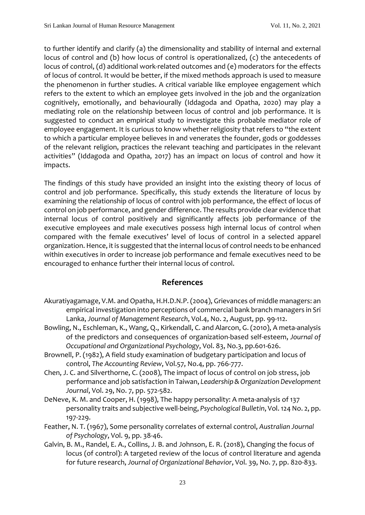to further identify and clarify (a) the dimensionality and stability of internal and external locus of control and (b) how locus of control is operationalized, (c) the antecedents of locus of control, (d) additional work-related outcomes and (e) moderators for the effects of locus of control. It would be better, if the mixed methods approach is used to measure the phenomenon in further studies. A critical variable like employee engagement which refers to the extent to which an employee gets involved in the job and the organization cognitively, emotionally, and behaviourally (Iddagoda and Opatha, 2020) may play a mediating role on the relationship between locus of control and job performance. It is suggested to conduct an empirical study to investigate this probable mediator role of employee engagement. It is curious to know whether religiosity that refers to "the extent to which a particular employee believes in and venerates the founder, gods or goddesses of the relevant religion, practices the relevant teaching and participates in the relevant activities" (Iddagoda and Opatha, 2017) has an impact on locus of control and how it impacts.

The findings of this study have provided an insight into the existing theory of locus of control and job performance. Specifically, this study extends the literature of locus by examining the relationship of locus of control with job performance, the effect of locus of control on job performance, and gender difference. The results provide clear evidence that internal locus of control positively and significantly affects job performance of the executive employees and male executives possess high internal locus of control when compared with the female executives' level of locus of control in a selected apparel organization. Hence, it is suggested that the internal locus of control needs to be enhanced within executives in order to increase job performance and female executives need to be encouraged to enhance further their internal locus of control.

# **References**

- Akuratiyagamage, V.M. and Opatha, H.H.D.N.P. (2004), Grievances of middle managers: an empirical investigation into perceptions of commercial bank branch managers in Sri Lanka, *Journal of Management Research*, Vol.4, No. 2, August, pp. 99-112.
- Bowling, N., Eschleman, K., Wang, Q., Kirkendall, C. and Alarcon, G. (2010), A meta‐analysis of the predictors and consequences of organization‐based self‐esteem, *Journal of Occupational and Organizational Psychology*, Vol. 83, No.3, pp.601-626.
- Brownell, P. (1982), A field study examination of budgetary participation and locus of control, *The Accounting Review*, Vol.57, No.4, pp. 766-777.
- Chen, J. C. and Silverthorne, C. (2008), The impact of locus of control on job stress, job performance and job satisfaction in Taiwan, *Leadership & Organization Development Journal*, Vol. 29, No. 7, pp. 572-582.
- DeNeve, K. M. and Cooper, H. (1998), The happy personality: A meta-analysis of 137 personality traits and subjective well-being, *Psychological Bulletin*, Vol. 124 No. 2, pp. 197-229.
- Feather, N. T. (1967), Some personality correlates of external control, *Australian Journal of Psychology*, Vol. 9, pp. 38-46.
- Galvin, B. M., Randel, E. A., Collins, J. B. and Johnson, E. R. (2018), Changing the focus of locus (of control): A targeted review of the locus of control literature and agenda for future research, *Journal of Organizational Behavior*, Vol. 39, No. 7, pp. 820-833.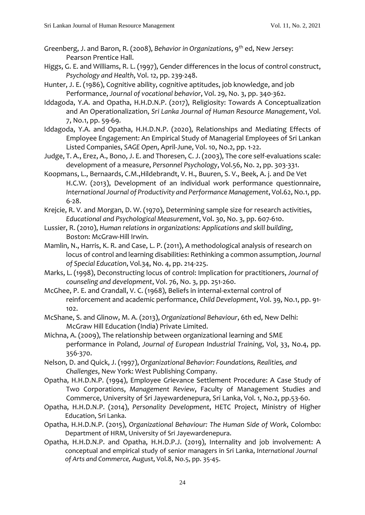- Greenberg, J. and Baron, R. (2008), *Behavior in Organizations*, 9 th ed, New Jersey: Pearson Prentice Hall.
- Higgs, G. E. and Williams, R. L. (1997), Gender differences in the locus of control construct, *Psychology and Health*, Vol. 12, pp. 239-248.
- Hunter, J. E. (1986), Cognitive ability, cognitive aptitudes, job knowledge, and job Performance, *Journal of vocational behavior*, Vol. 29, No. 3, pp. 340-362.
- Iddagoda, Y.A. and Opatha, H.H.D.N.P. (2017), Religiosity: Towards A Conceptualization and An Operationalization, *Sri Lanka Journal of Human Resource Management*, Vol. 7, No.1, pp. 59-69.
- Iddagoda, Y.A. and Opatha, H.H.D.N.P. (2020), Relationships and Mediating Effects of Employee Engagement: An Empirical Study of Managerial Employees of Sri Lankan Listed Companies, *SAGE Open*, April-June, Vol. 10, No.2, pp. 1-22.
- Judge, T. A., Erez, A., Bono, J. E. and Thoresen, C. J. (2003), The core self-evaluations scale: development of a measure, *Personnel Psychology*, Vol.56, No. 2, pp. 303-331.
- Koopmans, L., Bernaards, C.M.,Hildebrandt, V. H., Buuren, S. V., Beek, A. j. and De Vet H.C.W. (2013), Development of an individual work performance questionnaire, *International Journal of Productivity and Performance Management*, Vol.62, No.1, pp. 6-28.
- Krejcie, R. V. and Morgan, D. W. (1970), Determining sample size for research activities, *Educational and Psychological Measurement*, Vol. 30, No. 3, pp. 607-610.
- Lussier, R. (2010), *Human relations in organizations: Applications and skill building*, Boston: McGraw-Hill Irwin.
- Mamlin, N., Harris, K. R. and Case, L. P. (2011), A methodological analysis of research on locus of control and learning disabilities: Rethinking a common assumption,*Journal of Special Education*, Vol.34, No. 4, pp. 214-225.
- Marks, L. (1998), Deconstructing locus of control: Implication for practitioners, *Journal of counseling and development*, Vol. 76, No. 3, pp. 251-260.
- McGhee, P. E. and Crandall, V. C. (1968), Beliefs in internal-external control of reinforcement and academic performance, *Child Development*, Vol. 39, No.1, pp. 91- 102.
- McShane, S. and Glinow, M. A. (2013), *Organizational Behaviour*, 6th ed, New Delhi: McGraw Hill Education (India) Private Limited.
- Michna, A. (2009), The relationship between organizational learning and SME performance in Poland, *Journal of European Industrial Training*, Vol, 33, No.4, pp. 356-370.
- Nelson, D. and Quick, J. (1997), *Organizational Behavior: Foundations, Realities, and Challenges*, New York: West Publishing Company.
- Opatha, H.H.D.N.P. (1994), Employee Grievance Settlement Procedure: A Case Study of Two Corporations, *Management Review*, Faculty of Management Studies and Commerce, University of Sri Jayewardenepura, Sri Lanka, Vol. 1, No.2, pp.53-60.
- Opatha, H.H.D.N.P. (2014), *Personality Development*, HETC Project, Ministry of Higher Education, Sri Lanka.
- Opatha, H.H.D.N.P. (2015), *Organizational Behaviour: The Human Side of Work*, Colombo: Department of HRM, University of Sri Jayewardenepura.
- Opatha, H.H.D.N.P. and Opatha, H.H.D.P.J. (2019), Internality and job involvement: A conceptual and empirical study of senior managers in Sri Lanka, *International Journal of Arts and Commerce,* August, Vol.8, No.5, pp. 35-45.